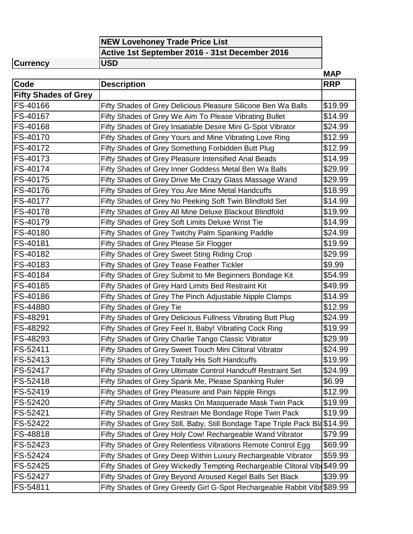| <b>NEW Lovehoney Trade Price List</b>          |  |  |  |
|------------------------------------------------|--|--|--|
| Active 1st September 2016 - 31st December 2016 |  |  |  |
| $\blacksquare$                                 |  |  |  |

**Currency USD**

|                             |                                                                          | <b>MAP</b> |
|-----------------------------|--------------------------------------------------------------------------|------------|
| Code                        | <b>Description</b>                                                       | <b>RRP</b> |
| <b>Fifty Shades of Grey</b> |                                                                          |            |
| FS-40166                    | Fifty Shades of Grey Delicious Pleasure Silicone Ben Wa Balls            | \$19.99    |
| FS-40167                    | Fifty Shades of Grey We Aim To Please Vibrating Bullet                   | \$14.99    |
| FS-40168                    | Fifty Shades of Grey Insatiable Desire Mini G-Spot Vibrator              | \$24.99    |
| FS-40170                    | Fifty Shades of Grey Yours and Mine Vibrating Love Ring                  | \$12.99    |
| FS-40172                    | Fifty Shades of Grey Something Forbidden Butt Plug                       | \$12.99    |
| FS-40173                    | Fifty Shades of Grey Pleasure Intensified Anal Beads                     | \$14.99    |
| FS-40174                    | Fifty Shades of Grey Inner Goddess Metal Ben Wa Balls                    | \$29.99    |
| FS-40175                    | Fifty Shades of Grey Drive Me Crazy Glass Massage Wand                   | \$29.99    |
| FS-40176                    | Fifty Shades of Grey You Are Mine Metal Handcuffs                        | \$18.99    |
| FS-40177                    | Fifty Shades of Grey No Peeking Soft Twin Blindfold Set                  | \$14.99    |
| FS-40178                    | Fifty Shades of Grey All Mine Deluxe Blackout Blindfold                  | \$19.99    |
| FS-40179                    | Fifty Shades of Grey Soft Limits Deluxe Wrist Tie                        | \$14.99    |
| FS-40180                    | Fifty Shades of Grey Twitchy Palm Spanking Paddle                        | \$24.99    |
| FS-40181                    | Fifty Shades of Grey Please Sir Flogger                                  | \$19.99    |
| FS-40182                    | Fifty Shades of Grey Sweet Sting Riding Crop                             | \$29.99    |
| FS-40183                    | Fifty Shades of Grey Tease Feather Tickler                               | \$9.99     |
| FS-40184                    | Fifty Shades of Grey Submit to Me Beginners Bondage Kit                  | \$54.99    |
| FS-40185                    | Fifty Shades of Grey Hard Limits Bed Restraint Kit                       | \$49.99    |
| FS-40186                    | Fifty Shades of Grey The Pinch Adjustable Nipple Clamps                  | \$14.99    |
| FS-44880                    | Fifty Shades of Grey Tie                                                 | \$12.99    |
| FS-48291                    | Fifty Shades of Grey Delicious Fullness Vibrating Butt Plug              | \$24.99    |
| FS-48292                    | Fifty Shades of Grey Feel It, Baby! Vibrating Cock Ring                  | \$19.99    |
| FS-48293                    | Fifty Shades of Grey Charlie Tango Classic Vibrator                      | \$29.99    |
| FS-52411                    | Fifty Shades of Grey Sweet Touch Mini Clitoral Vibrator                  | \$24.99    |
| FS-52413                    | Fifty Shades of Grey Totally His Soft Handcuffs                          | \$19.99    |
| FS-52417                    | Fifty Shades of Grey Ultimate Control Handcuff Restraint Set             | \$24.99    |
| FS-52418                    | Fifty Shades of Grey Spank Me, Please Spanking Ruler                     | \$6.99     |
| FS-52419                    | Fifty Shades of Grey Pleasure and Pain Nipple Rings                      | \$12.99    |
| FS-52420                    | Fifty Shades of Grey Masks On Masquerade Mask Twin Pack                  | \$19.99    |
| FS-52421                    | Fifty Shades of Grey Restrain Me Bondage Rope Twin Pack                  | \$19.99    |
| FS-52422                    | Fifty Shades of Grey Still, Baby, Still Bondage Tape Triple Pack Bla     | \$14.99    |
| FS-48818                    | Fifty Shades of Grey Holy Cow! Rechargeable Wand Vibrator                | \$79.99    |
| FS-52423                    | Fifty Shades of Grey Relentless Vibrations Remote Control Egg            | \$69.99    |
| FS-52424                    | Fifty Shades of Grey Deep Within Luxury Rechargeable Vibrator            | \$59.99    |
| FS-52425                    | Fifty Shades of Grey Wickedly Tempting Rechargeable Clitoral Vib \$49.99 |            |
| FS-52427                    | Fifty Shades of Grey Beyond Aroused Kegel Balls Set Black                | \$39.99    |
| FS-54811                    | Fifty Shades of Grey Greedy Girl G-Spot Rechargeable Rabbit Vibr \$89.99 |            |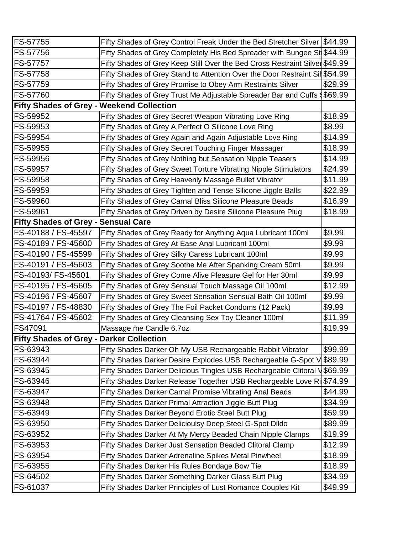| <b>FS-57755</b>                                  | Fifty Shades of Grey Control Freak Under the Bed Stretcher Silver \$44.99   |         |
|--------------------------------------------------|-----------------------------------------------------------------------------|---------|
| FS-57756                                         | Fifty Shades of Grey Completely His Bed Spreader with Bungee St \$44.99     |         |
| <b>FS-57757</b>                                  | Fifty Shades of Grey Keep Still Over the Bed Cross Restraint Silver \$49.99 |         |
| <b>FS-57758</b>                                  | Fifty Shades of Grey Stand to Attention Over the Door Restraint Sil \$54.99 |         |
| FS-57759                                         | Fifty Shades of Grey Promise to Obey Arm Restraints Silver                  | \$29.99 |
| FS-57760                                         | Fifty Shades of Grey Trust Me Adjustable Spreader Bar and Cuffs &           | \$69.99 |
| <b>Fifty Shades of Grey - Weekend Collection</b> |                                                                             |         |
| FS-59952                                         | Fifty Shades of Grey Secret Weapon Vibrating Love Ring                      | \$18.99 |
| FS-59953                                         | Fifty Shades of Grey A Perfect O Silicone Love Ring                         | \$8.99  |
| FS-59954                                         | Fifty Shades of Grey Again and Again Adjustable Love Ring                   | \$14.99 |
| FS-59955                                         | Fifty Shades of Grey Secret Touching Finger Massager                        | \$18.99 |
| FS-59956                                         | Fifty Shades of Grey Nothing but Sensation Nipple Teasers                   | \$14.99 |
| FS-59957                                         | Fifty Shades of Grey Sweet Torture Vibrating Nipple Stimulators             | \$24.99 |
| <b>FS-59958</b>                                  | Fifty Shades of Grey Heavenly Massage Bullet Vibrator                       | \$11.99 |
| FS-59959                                         | Fifty Shades of Grey Tighten and Tense Silicone Jiggle Balls                | \$22.99 |
| FS-59960                                         | Fifty Shades of Grey Carnal Bliss Silicone Pleasure Beads                   | \$16.99 |
| <b>FS-59961</b>                                  | Fifty Shades of Grey Driven by Desire Silicone Pleasure Plug                | \$18.99 |
| <b>Fifty Shades of Grey -</b>                    | <b>Sensual Care</b>                                                         |         |
| FS-40188 / FS-45597                              | Fifty Shades of Grey Ready for Anything Aqua Lubricant 100ml                | \$9.99  |
| FS-40189 / FS-45600                              | Fifty Shades of Grey At Ease Anal Lubricant 100ml                           | \$9.99  |
| FS-40190 / FS-45599                              | Fifty Shades of Grey Silky Caress Lubricant 100ml                           | \$9.99  |
| FS-40191 / FS-45603                              | Fifty Shades of Grey Soothe Me After Spanking Cream 50ml                    | \$9.99  |
| FS-40193/ FS-45601                               | Fifty Shades of Grey Come Alive Pleasure Gel for Her 30ml                   | \$9.99  |
| FS-40195 / FS-45605                              | Fifty Shades of Grey Sensual Touch Massage Oil 100ml                        | \$12.99 |
| FS-40196 / FS-45607                              | Fifty Shades of Grey Sweet Sensation Sensual Bath Oil 100ml                 | \$9.99  |
| FS-40197 / FS-48830                              | Fifty Shades of Grey The Foil Packet Condoms (12 Pack)                      | \$9.99  |
| FS-41764 / FS-45602                              | Fifty Shades of Grey Cleansing Sex Toy Cleaner 100ml                        | \$11.99 |
| <b>FS47091</b>                                   | Massage me Candle 6.7oz                                                     | \$19.99 |
| <b>Fifty Shades of Grey - Darker Collection</b>  |                                                                             |         |
| <b>FS-63943</b>                                  | Fifty Shades Darker Oh My USB Rechargeable Rabbit Vibrator                  | \$99.99 |
| <b>FS-63944</b>                                  | Fifty Shades Darker Desire Explodes USB Rechargeable G-Spot V               | \$89.99 |
| FS-63945                                         | Fifty Shades Darker Delicious Tingles USB Rechargeable Clitoral V           | \$69.99 |
| FS-63946                                         | Fifty Shades Darker Release Together USB Rechargeable Love Ri               | \$74.99 |
| FS-63947                                         | Fifty Shades Darker Carnal Promise Vibrating Anal Beads                     | \$44.99 |
| <b>FS-63948</b>                                  | Fifty Shades Darker Primal Attraction Jiggle Butt Plug                      | \$34.99 |
| FS-63949                                         | Fifty Shades Darker Beyond Erotic Steel Butt Plug                           | \$59.99 |
| FS-63950                                         | Fifty Shades Darker Delicioulsy Deep Steel G-Spot Dildo                     | \$89.99 |
| <b>FS-63952</b>                                  | Fifty Shades Darker At My Mercy Beaded Chain Nipple Clamps                  | \$19.99 |
| FS-63953                                         | Fifty Shades Darker Just Sensation Beaded Clitoral Clamp                    | \$12.99 |
| FS-63954                                         | Fifty Shades Darker Adrenaline Spikes Metal Pinwheel                        | \$18.99 |
| FS-63955                                         | Fifty Shades Darker His Rules Bondage Bow Tie                               | \$18.99 |
| FS-64502                                         | Fifty Shades Darker Something Darker Glass Butt Plug                        | \$34.99 |
| FS-61037                                         | Fifty Shades Darker Principles of Lust Romance Couples Kit                  | \$49.99 |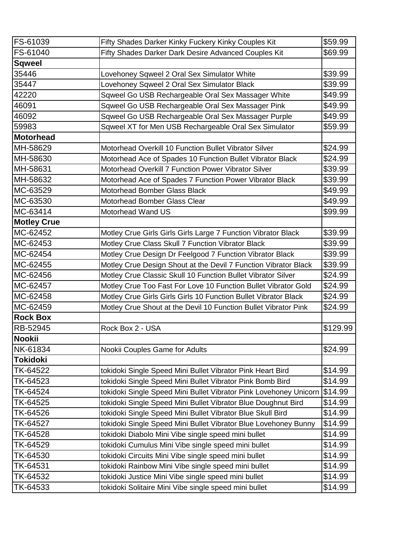| FS-61039           | Fifty Shades Darker Kinky Fuckery Kinky Couples Kit               | \$59.99  |
|--------------------|-------------------------------------------------------------------|----------|
| FS-61040           | Fifty Shades Darker Dark Desire Advanced Couples Kit              | \$69.99  |
| <b>Sqweel</b>      |                                                                   |          |
| 35446              | Lovehoney Sqweel 2 Oral Sex Simulator White                       | \$39.99  |
| 35447              | Lovehoney Sqweel 2 Oral Sex Simulator Black                       | \$39.99  |
| 42220              | Sqweel Go USB Rechargeable Oral Sex Massager White                | \$49.99  |
| 46091              | Sqweel Go USB Rechargeable Oral Sex Massager Pink                 | \$49.99  |
| 46092              | Sqweel Go USB Rechargeable Oral Sex Massager Purple               | \$49.99  |
| 59983              | Sqweel XT for Men USB Rechargeable Oral Sex Simulator             | \$59.99  |
| <b>Motorhead</b>   |                                                                   |          |
| MH-58629           | Motorhead Overkill 10 Function Bullet Vibrator Silver             | \$24.99  |
| MH-58630           | Motorhead Ace of Spades 10 Function Bullet Vibrator Black         | \$24.99  |
| MH-58631           | Motorhead Overkill 7 Function Power Vibrator Silver               | \$39.99  |
| MH-58632           | Motorhead Ace of Spades 7 Function Power Vibrator Black           | \$39.99  |
| MC-63529           | Motorhead Bomber Glass Black                                      | \$49.99  |
| MC-63530           | Motorhead Bomber Glass Clear                                      | \$49.99  |
| MC-63414           | Motorhead Wand US                                                 | \$99.99  |
| <b>Motley Crue</b> |                                                                   |          |
| MC-62452           | Motley Crue Girls Girls Girls Large 7 Function Vibrator Black     | \$39.99  |
| MC-62453           | Motley Crue Class Skull 7 Function Vibrator Black                 | \$39.99  |
| MC-62454           | Motley Crue Design Dr Feelgood 7 Function Vibrator Black          | \$39.99  |
| MC-62455           | Motley Crue Design Shout at the Devil 7 Function Vibrator Black   | \$39.99  |
| MC-62456           | Motley Crue Classic Skull 10 Function Bullet Vibrator Silver      | \$24.99  |
| MC-62457           | Motley Crue Too Fast For Love 10 Function Bullet Vibrator Gold    | \$24.99  |
| MC-62458           | Motley Crue Girls Girls Girls 10 Function Bullet Vibrator Black   | \$24.99  |
| MC-62459           | Motley Crue Shout at the Devil 10 Function Bullet Vibrator Pink   | \$24.99  |
| <b>Rock Box</b>    |                                                                   |          |
| RB-52945           | Rock Box 2 - USA                                                  | \$129.99 |
| <b>Nookii</b>      |                                                                   |          |
| NK-61834           | Nookii Couples Game for Adults                                    | \$24.99  |
| <b>Tokidoki</b>    |                                                                   |          |
| TK-64522           | tokidoki Single Speed Mini Bullet Vibrator Pink Heart Bird        | \$14.99  |
| TK-64523           | tokidoki Single Speed Mini Bullet Vibrator Pink Bomb Bird         | \$14.99  |
| TK-64524           | tokidoki Single Speed Mini Bullet Vibrator Pink Lovehoney Unicorn | \$14.99  |
| TK-64525           | tokidoki Single Speed Mini Bullet Vibrator Blue Doughnut Bird     | \$14.99  |
| TK-64526           | tokidoki Single Speed Mini Bullet Vibrator Blue Skull Bird        | \$14.99  |
| TK-64527           | tokidoki Single Speed Mini Bullet Vibrator Blue Lovehoney Bunny   | \$14.99  |
| TK-64528           | tokidoki Diabolo Mini Vibe single speed mini bullet               | \$14.99  |
| TK-64529           | tokidoki Cumulus Mini Vibe single speed mini bullet               | \$14.99  |
| TK-64530           | tokidoki Circuits Mini Vibe single speed mini bullet              | \$14.99  |
| TK-64531           | tokidoki Rainbow Mini Vibe single speed mini bullet               | \$14.99  |
| TK-64532           | tokidoki Justice Mini Vibe single speed mini bullet               | \$14.99  |
| TK-64533           | tokidoki Solitaire Mini Vibe single speed mini bullet             | \$14.99  |